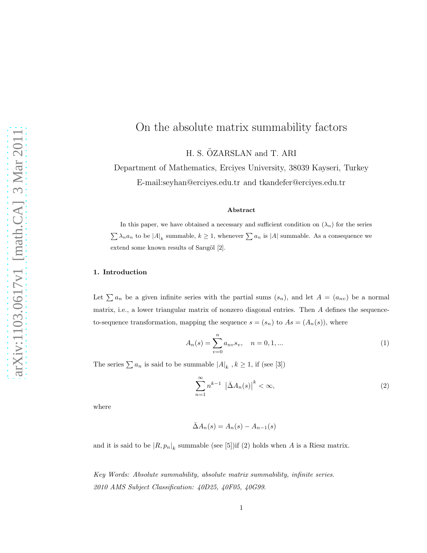# On the absolute matrix summability factors

H. S. ÖZARSLAN and T. ARI

Department of Mathematics, Erciyes University, 38039 Kayseri, Turkey E-mail:seyhan@erciyes.edu.tr and tkandefer@erciyes.edu.tr

#### Abstract

In this paper, we have obtained a necessary and sufficient condition on  $(\lambda_n)$  for the series  $\sum_{n} \lambda_n a_n$  to be  $|A|_k$  summable,  $k \geq 1$ , whenever  $\sum_{n} a_n$  is  $|A|$  summable. As a consequence we extend some known results of Sarıgöl [2].

### 1. Introduction

Let  $\sum a_n$  be a given infinite series with the partial sums  $(s_n)$ , and let  $A = (a_{nv})$  be a normal matrix, i.e., a lower triangular matrix of nonzero diagonal entries. Then  $A$  defines the sequenceto-sequence transformation, mapping the sequence  $s = (s_n)$  to  $As = (A_n(s))$ , where

$$
A_n(s) = \sum_{v=0}^n a_{nv} s_v, \quad n = 0, 1, ... \tag{1}
$$

The series  $\sum a_n$  is said to be summable  $|A|_k$ ,  $k \ge 1$ , if (see [3])

$$
\sum_{n=1}^{\infty} n^{k-1} \left| \bar{\Delta} A_n(s) \right|^k < \infty,\tag{2}
$$

where

$$
\bar{\Delta}A_n(s) = A_n(s) - A_{n-1}(s)
$$

and it is said to be  $|R, p_n|_k$  summable (see [5]) if (2) holds when A is a Riesz matrix.

Key Words: Absolute summability, absolute matrix summability, infinite series. 2010 AMS Subject Classification: 40D25, 40F05, 40G99.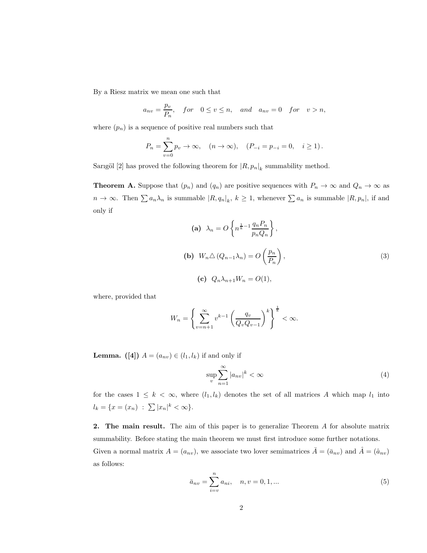By a Riesz matrix we mean one such that

$$
a_{nv} = \frac{p_v}{P_n}
$$
, for  $0 \le v \le n$ , and  $a_{nv} = 0$  for  $v > n$ ,

where  $(p_n)$  is a sequence of positive real numbers such that

$$
P_n = \sum_{v=0}^n p_v \to \infty
$$
,  $(n \to \infty)$ ,  $(P_{-i} = p_{-i} = 0, i \ge 1)$ .

Sarigöl [2] has proved the following theorem for  $|R, p_n|_k$  summability method.

**Theorem A.** Suppose that  $(p_n)$  and  $(q_n)$  are positive sequences with  $P_n \to \infty$  and  $Q_n \to \infty$  as  $n \to \infty$ . Then  $\sum a_n \lambda_n$  is summable  $|R, q_n|_k$ ,  $k \ge 1$ , whenever  $\sum a_n$  is summable  $|R, p_n|$ , if and only if

(a) 
$$
\lambda_n = O\left\{ n^{\frac{1}{k} - 1} \frac{q_n P_n}{p_n Q_n} \right\},
$$
  
\n(b)  $W_n \triangle (Q_{n-1} \lambda_n) = O\left(\frac{p_n}{P_n}\right),$   
\n(c)  $Q_n \lambda_{n+1} W_n = O(1),$  (3)

where, provided that

$$
W_n = \left\{ \sum_{v=n+1}^{\infty} v^{k-1} \left( \frac{q_v}{Q_v Q_{v-1}} \right)^k \right\}^{\frac{1}{k}} < \infty.
$$

**Lemma.** ([4])  $A = (a_{nv}) \in (l_1, l_k)$  if and only if

$$
\sup_{v} \sum_{n=1}^{\infty} |a_{nv}|^{k} < \infty \tag{4}
$$

for the cases  $1 \leq k < \infty$ , where  $(l_1, l_k)$  denotes the set of all matrices A which map  $l_1$  into  $l_k = \{x = (x_n) : \sum |x_n|^k < \infty\}.$ 

2. The main result. The aim of this paper is to generalize Theorem A for absolute matrix summability. Before stating the main theorem we must first introduce some further notations. Given a normal matrix  $A = (a_{nv})$ , we associate two lover semimatrices  $\overline{A} = (\overline{a}_{nv})$  and  $\overline{A} = (\hat{a}_{nv})$ as follows:

$$
\bar{a}_{nv} = \sum_{i=v}^{n} a_{ni}, \quad n, v = 0, 1, \dots
$$
 (5)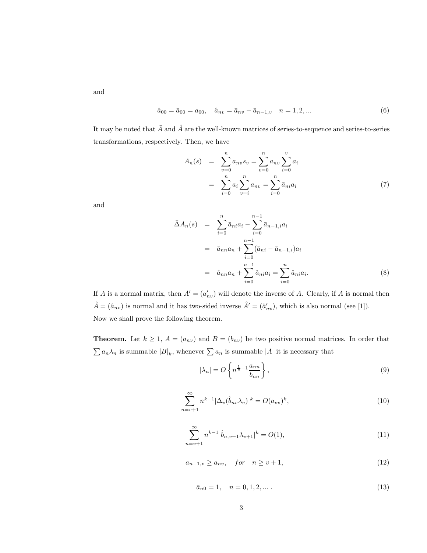and

$$
\hat{a}_{00} = \bar{a}_{00} = a_{00}, \quad \hat{a}_{nv} = \bar{a}_{nv} - \bar{a}_{n-1,v} \quad n = 1, 2, \dots \tag{6}
$$

It may be noted that  $\bar{A}$  and  $\hat{A}$  are the well-known matrices of series-to-sequence and series-to-series transformations, respectively. Then, we have

$$
A_n(s) = \sum_{v=0}^n a_{nv} s_v = \sum_{v=0}^n a_{nv} \sum_{i=0}^v a_i
$$
  
= 
$$
\sum_{i=0}^n a_i \sum_{v=i}^n a_{nv} = \sum_{i=0}^n \bar{a}_{ni} a_i
$$
 (7)

and

$$
\bar{\Delta}A_n(s) = \sum_{i=0}^n \bar{a}_{ni} a_i - \sum_{i=0}^{n-1} \bar{a}_{n-1,i} a_i
$$
  
\n
$$
= \bar{a}_{nn} a_n + \sum_{i=0}^{n-1} (\bar{a}_{ni} - \bar{a}_{n-1,i}) a_i
$$
  
\n
$$
= \hat{a}_{nn} a_n + \sum_{i=0}^{n-1} \hat{a}_{ni} a_i = \sum_{i=0}^n \hat{a}_{ni} a_i.
$$
 (8)

If A is a normal matrix, then  $A' = (a'_{nv})$  will denote the inverse of A. Clearly, if A is normal then  $\hat{A} = (\hat{a}_{nv})$  is normal and it has two-sided inverse  $\hat{A}' = (\hat{a}'_{nv})$ , which is also normal (see [1]). Now we shall prove the following theorem.

**Theorem.** Let  $k \geq 1$ ,  $A = (a_{nv})$  and  $B = (b_{nv})$  be two positive normal matrices. In order that  $\sum a_n \lambda_n$  is summable  $|B|_k$ , whenever  $\sum a_n$  is summable |A| it is necessary that

$$
|\lambda_n| = O\left\{ n^{\frac{1}{k}-1} \frac{a_{nn}}{b_{nn}} \right\},\tag{9}
$$

$$
\sum_{n=v+1}^{\infty} n^{k-1} |\Delta_v(\hat{b}_{nv}\lambda_v)|^k = O(a_{vv})^k,
$$
\n(10)

$$
\sum_{n=v+1}^{\infty} n^{k-1} |\hat{b}_{n,v+1} \lambda_{v+1}|^{k} = O(1),
$$
\n(11)

$$
a_{n-1,v} \ge a_{nv}, \quad for \quad n \ge v+1,
$$
\n
$$
(12)
$$

$$
\bar{a}_{n0} = 1, \quad n = 0, 1, 2, \dots \tag{13}
$$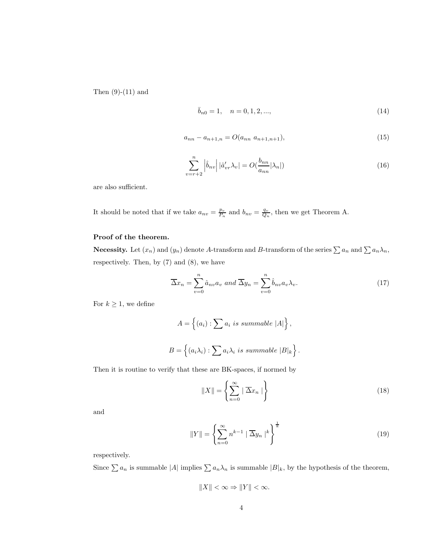Then  $(9)-(11)$  and

$$
\bar{b}_{n0} = 1, \quad n = 0, 1, 2, \dots,
$$
\n<sup>(14)</sup>

$$
a_{nn} - a_{n+1,n} = O(a_{nn} \ a_{n+1,n+1}), \tag{15}
$$

$$
\sum_{v=r+2}^{n} \left| \hat{b}_{nv} \right| |\hat{a}'_{vr}\lambda_v| = O(\frac{b_{nn}}{a_{nn}}|\lambda_n|)
$$
\n(16)

are also sufficient.

It should be noted that if we take  $a_{nv} = \frac{p_v}{P_n}$  and  $b_{nv} = \frac{q_v}{Q_n}$ , then we get Theorem A.

### Proof of the theorem.

**Necessity.** Let  $(x_n)$  and  $(y_n)$  denote A-transform and B-transform of the series  $\sum a_n$  and  $\sum a_n \lambda_n$ , respectively. Then, by (7) and (8), we have

$$
\overline{\Delta}x_n = \sum_{v=0}^n \hat{a}_{nv} a_v \text{ and } \overline{\Delta}y_n = \sum_{v=0}^n \hat{b}_{nv} a_v \lambda_v.
$$
 (17)

For  $k \geq 1$ , we define

$$
A = \{(a_i) : \sum a_i \text{ is summable } |A|\},
$$
  

$$
B = \{(a_i \lambda_i) : \sum a_i \lambda_i \text{ is summable } |B|_k\}.
$$

Then it is routine to verify that these are BK-spaces, if normed by

$$
||X|| = \left\{ \sum_{n=0}^{\infty} | \overline{\Delta} x_n | \right\}
$$
 (18)

and

$$
||Y|| = \left\{ \sum_{n=0}^{\infty} n^{k-1} \mid \overline{\Delta}y_n \mid ^k \right\}^{\frac{1}{k}}
$$
(19)

respectively.

Since  $\sum a_n$  is summable  $|A|$  implies  $\sum a_n\lambda_n$  is summable  $|B|_k$ , by the hypothesis of the theorem,

$$
||X|| < \infty \Rightarrow ||Y|| < \infty.
$$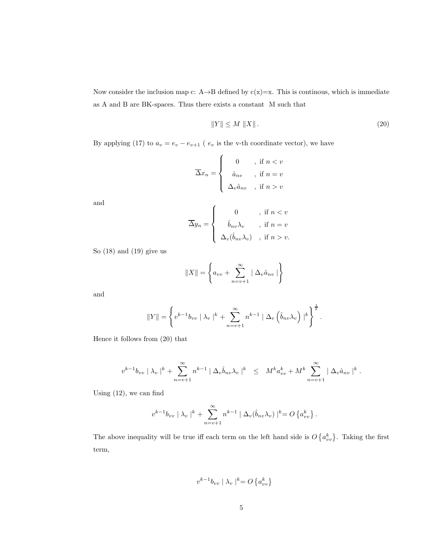Now consider the inclusion map c: A→B defined by  $c(x)=x$ . This is continous, which is immediate as A and B are BK-spaces. Thus there exists a constant M such that

$$
||Y|| \le M ||X||. \tag{20}
$$

By applying (17) to  $a_v = e_v - e_{v+1}$  ( $e_v$  is the v-th coordinate vector), we have

$$
\overline{\Delta x}_n = \begin{cases}\n0 & , \text{ if } n < v \\
\hat{a}_{nv} & , \text{ if } n = v \\
\Delta_v \hat{a}_{nv} & , \text{ if } n > v\n\end{cases}
$$

and

$$
\overline{\Delta}y_n = \begin{cases}\n0 & , \text{ if } n < v \\
\hat{b}_{nv}\lambda_v, & \text{ if } n = v \\
\Delta_v(\hat{b}_{nv}\lambda_v), & \text{ if } n > v.\n\end{cases}
$$

So (18) and (19) give us

$$
||X|| = \left\{ a_{vv} + \sum_{n=v+1}^{\infty} | \Delta_v \hat{a}_{nv} | \right\}
$$

and

$$
||Y|| = \left\{ v^{k-1}b_{vv} \mid \lambda_v \mid^k + \sum_{n=v+1}^{\infty} n^{k-1} \mid \Delta_v \left( \hat{b}_{nv} \lambda_v \right) \mid^k \right\}^{\frac{1}{k}}.
$$

Hence it follows from (20) that

$$
v^{k-1}b_{vv} |\lambda_v|^k + \sum_{n=v+1}^{\infty} n^{k-1} |\Delta_v \hat{b}_{nv} \lambda_v|^k \leq M^k a_{vv}^k + M^k \sum_{n=v+1}^{\infty} |\Delta_v \hat{a}_{nv}|^k.
$$

Using (12), we can find

$$
v^{k-1}b_{vv} \mid \lambda_v \mid^k + \sum_{n=v+1}^{\infty} n^{k-1} \mid \Delta_v(\hat{b}_{nv}\lambda_v) \mid^k = O\left\{a_{vv}^k\right\}.
$$

The above inequality will be true iff each term on the left hand side is  $O\left\{a_{vv}^k\right\}$ . Taking the first term,

$$
v^{k-1}b_{vv} \mid \lambda_v \mid^k = O\left\{a_{vv}^k\right\}
$$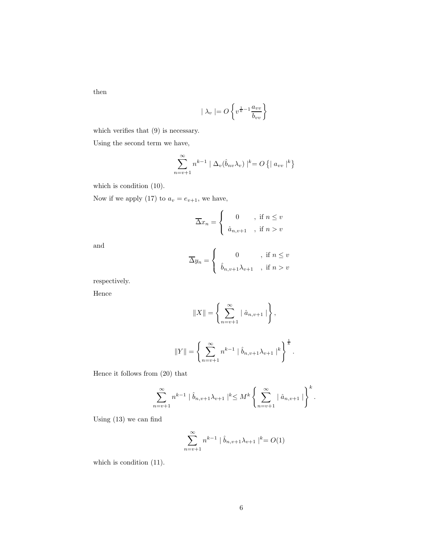then

$$
| \lambda_v | = O \left\{ v^{\frac{1}{k} - 1} \frac{a_{vv}}{b_{vv}} \right\}
$$

which verifies that  $(9)$  is necessary.

Using the second term we have,

$$
\sum_{n=v+1}^{\infty} n^{k-1} \mid \Delta_v(\hat{b}_{nv}\lambda_v)\mid^k = O\left\{ \mid a_{vv} \mid^k \right\}
$$

which is condition  $(10)$ .

Now if we apply (17) to  $a_v = e_{v+1}$ , we have,

$$
\overline{\Delta x}_n = \begin{cases} 0, & \text{if } n \leq v \\ \hat{a}_{n,v+1}, & \text{if } n > v \end{cases}
$$

and

$$
\overline{\Delta}y_n = \begin{cases} 0, & \text{if } n \le v \\ \hat{b}_{n,v+1}\lambda_{v+1}, & \text{if } n > v \end{cases}
$$

respectively.

Hence

$$
||X|| = \left\{ \sum_{n=v+1}^{\infty} | \hat{a}_{n,v+1} | \right\},\,
$$

$$
||Y|| = \left\{\sum_{n=v+1}^{\infty} n^{k-1} \mid \hat{b}_{n,v+1} \lambda_{v+1} \mid^{k} \right\}^{\frac{1}{k}}.
$$

Hence it follows from (20) that

$$
\sum_{n=v+1}^{\infty} n^{k-1} \mid \hat{b}_{n,v+1} \lambda_{v+1} \mid^{k} \leq M^{k} \left\{ \sum_{n=v+1}^{\infty} \mid \hat{a}_{n,v+1} \mid \right\}^{k}.
$$

Using (13) we can find

$$
\sum_{n=v+1}^{\infty} n^{k-1} \mid \hat{b}_{n,v+1} \lambda_{v+1} \mid^{k} = O(1)
$$

which is condition  $(11)$ .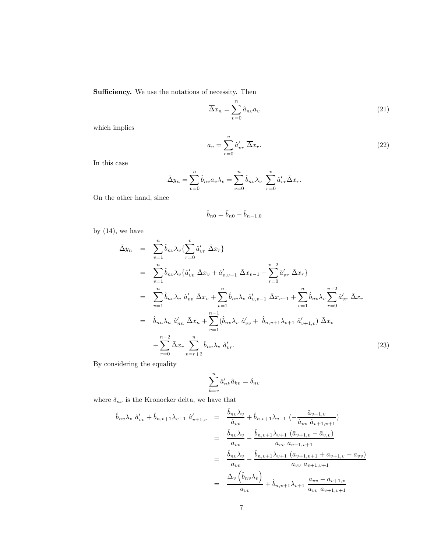Sufficiency. We use the notations of necessity. Then

$$
\overline{\Delta}x_n = \sum_{v=0}^n \hat{a}_{nv} a_v \tag{21}
$$

which implies

$$
a_v = \sum_{r=0}^{v} \hat{a}'_{vr} \overline{\Delta x_r}.
$$
 (22)

In this case

$$
\bar{\Delta}y_n = \sum_{v=0}^n \hat{b}_{nv} a_v \lambda_v = \sum_{v=0}^n \hat{b}_{nv} \lambda_v \sum_{r=0}^v \hat{a}'_{vr} \bar{\Delta}x_r.
$$

On the other hand, since

$$
\hat{b}_{n0} = \bar{b}_{n0} - \bar{b}_{n-1,0}
$$

by  $(14)$ , we have

$$
\begin{split}\n\bar{\Delta}y_{n} &= \sum_{v=1}^{n} \hat{b}_{nv} \lambda_{v} \{ \sum_{r=0}^{v} \hat{a}_{vr}^{\prime} \ \bar{\Delta}x_{r} \} \\
&= \sum_{v=1}^{n} \hat{b}_{nv} \lambda_{v} \{ \hat{a}_{vv}^{\prime} \ \bar{\Delta}x_{v} + \hat{a}_{v,v-1}^{\prime} \ \bar{\Delta}x_{v-1} + \sum_{r=0}^{v-2} \hat{a}_{vr}^{\prime} \ \bar{\Delta}x_{r} \} \\
&= \sum_{v=1}^{n} \hat{b}_{nv} \lambda_{v} \ \hat{a}_{vv}^{\prime} \ \bar{\Delta}x_{v} + \sum_{v=1}^{n} \hat{b}_{nv} \lambda_{v} \ \hat{a}_{v,v-1}^{\prime} \ \bar{\Delta}x_{v-1} + \sum_{v=1}^{n} \hat{b}_{nv} \lambda_{v} \sum_{r=0}^{v-2} \hat{a}_{vr}^{\prime} \ \bar{\Delta}x_{r} \\
&= \hat{b}_{nn} \lambda_{n} \ \hat{a}_{nn}^{\prime} \ \bar{\Delta}x_{n} + \sum_{v=1}^{n-1} (\hat{b}_{nv} \lambda_{v} \ \hat{a}_{vv}^{\prime} + \ \hat{b}_{n,v+1} \lambda_{v+1} \ \hat{a}_{v+1,v}^{\prime}) \ \bar{\Delta}x_{v} \\
&+ \sum_{r=0}^{n-2} \bar{\Delta}x_{r} \ \sum_{v=r+2}^{n} \hat{b}_{nv} \lambda_{v} \ \hat{a}_{vr}^{\prime}.\n\end{split} \tag{23}
$$

By considering the equality

$$
\sum_{k=v}^n \hat{a}_{nk}' \hat{a}_{kv} = \delta_{nv}
$$

where  $\delta_{nv}$  is the Kronocker delta, we have that

$$
\hat{b}_{nv}\lambda_v \ \hat{a}'_{vv} + \hat{b}_{n,v+1}\lambda_{v+1} \ \hat{a}'_{v+1,v} = \frac{\hat{b}_{nv}\lambda_v}{\hat{a}_{vv}} + \hat{b}_{n,v+1}\lambda_{v+1} \left( -\frac{\hat{a}_{v+1,v}}{\hat{a}_{vv}\ \hat{a}_{v+1,v+1}} \right)
$$
\n
$$
= \frac{\hat{b}_{nv}\lambda_v}{a_{vv}} - \frac{\hat{b}_{n,v+1}\lambda_{v+1} \left( \bar{a}_{v+1,v} - \bar{a}_{v,v} \right)}{a_{vv}\ a_{v+1,v+1}}
$$
\n
$$
= \frac{\hat{b}_{nv}\lambda_v}{a_{vv}} - \frac{\hat{b}_{n,v+1}\lambda_{v+1} \left( a_{v+1,v+1} + a_{v+1,v} - a_{vv} \right)}{a_{vv}\ a_{v+1,v+1}}
$$
\n
$$
= \frac{\Delta_v \left( \hat{b}_{nv}\lambda_v \right)}{a_{vv}} + \hat{b}_{n,v+1}\lambda_{v+1} \frac{a_{vv} - a_{v+1,v}}{a_{vv}\ a_{v+1,v+1}}
$$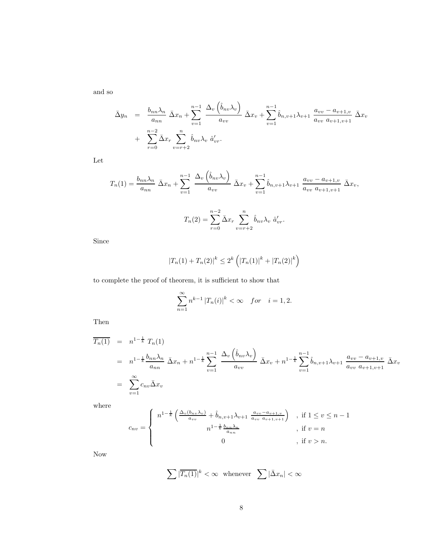and so

$$
\bar{\Delta}y_n = \frac{b_{nn}\lambda_n}{a_{nn}} \bar{\Delta}x_n + \sum_{v=1}^{n-1} \frac{\Delta_v(\hat{b}_{nv}\lambda_v)}{a_{vv}} \bar{\Delta}x_v + \sum_{v=1}^{n-1} \hat{b}_{n,v+1}\lambda_{v+1} \frac{a_{vv} - a_{v+1,v}}{a_{vv} a_{v+1,v+1}} \bar{\Delta}x_v
$$

$$
+ \sum_{r=0}^{n-2} \bar{\Delta}x_r \sum_{v=r+2}^n \hat{b}_{nv}\lambda_v \hat{a}'_{vr}.
$$

Let

$$
T_n(1) = \frac{b_{nn}\lambda_n}{a_{nn}} \bar{\Delta}x_n + \sum_{v=1}^{n-1} \frac{\Delta_v(\hat{b}_{nv}\lambda_v)}{a_{vv}} \bar{\Delta}x_v + \sum_{v=1}^{n-1} \hat{b}_{n,v+1}\lambda_{v+1} \frac{a_{vv} - a_{v+1,v}}{a_{vv} a_{v+1,v+1}} \bar{\Delta}x_v,
$$

$$
T_n(2) = \sum_{r=0}^{n-2} \bar{\Delta}x_r \sum_{v=r+2}^{n} \hat{b}_{nv}\lambda_v \hat{a}'_{vr}.
$$

Since

$$
|T_n(1) + T_n(2)|^k \le 2^k \left( |T_n(1)|^k + |T_n(2)|^k \right)
$$

to complete the proof of theorem, it is sufficient to show that

$$
\sum_{n=1}^{\infty} n^{k-1} |T_n(i)|^k < \infty \quad for \quad i = 1, 2.
$$

Then

$$
\overline{T_n(1)} = n^{1-\frac{1}{k}} T_n(1)
$$
\n
$$
= n^{1-\frac{1}{k}} \frac{b_{nn} \lambda_n}{a_{nn}} \bar{\Delta} x_n + n^{1-\frac{1}{k}} \sum_{v=1}^{n-1} \frac{\Delta_v \left( \hat{b}_{nv} \lambda_v \right)}{a_{vv}} \bar{\Delta} x_v + n^{1-\frac{1}{k}} \sum_{v=1}^{n-1} \hat{b}_{n,v+1} \lambda_{v+1} \frac{a_{vv} - a_{v+1,v}}{a_{vv}} \bar{\Delta} x_v
$$
\n
$$
= \sum_{v=1}^{\infty} c_{nv} \bar{\Delta} x_v
$$

where

$$
c_{nv} = \begin{cases} n^{1-\frac{1}{k}} \left( \frac{\Delta_v(b_{nv}\lambda_v)}{a_{vv}} + \hat{b}_{n,v+1}\lambda_{v+1} \frac{a_{vv}-a_{v+1,v}}{a_{vv}a_{v+1,v+1}} \right) & , \text{ if } 1 \le v \le n-1 \\ n^{1-\frac{1}{k}} \frac{b_{nn}\lambda_n}{a_{nn}} & , \text{ if } v = n \\ 0 & , \text{ if } v > n. \end{cases}
$$

Now

$$
\sum |\overline{T_n(1)}|^k < \infty \quad \text{whenever} \quad \sum |\bar{\Delta} x_n| < \infty
$$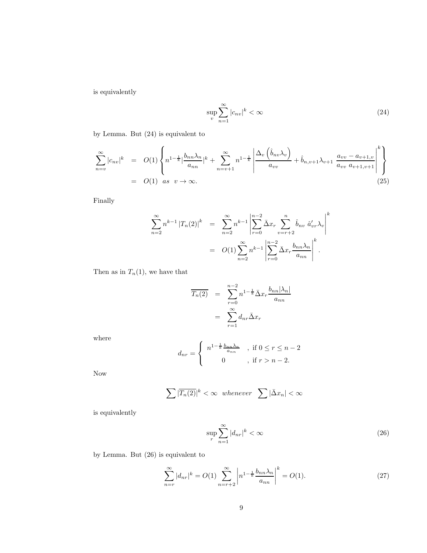is equivalently

$$
\sup_{v} \sum_{n=1}^{\infty} |c_{nv}|^{k} < \infty \tag{24}
$$

by Lemma. But (24) is equivalent to

$$
\sum_{n=v}^{\infty} |c_{nv}|^k = O(1) \left\{ n^{1-\frac{1}{k}} \Big| \frac{b_{nn} \lambda_n}{a_{nn}} \Big| ^k + \sum_{n=v+1}^{\infty} n^{1-\frac{1}{k}} \left| \frac{\Delta_v \left( \hat{b}_{nv} \lambda_v \right)}{a_{vv}} + \hat{b}_{n,v+1} \lambda_{v+1} \frac{a_{vv} - a_{v+1,v}}{a_{vv} \ a_{v+1,v+1}} \right|^k \right\}
$$
\n
$$
= O(1) \quad \text{as} \quad v \to \infty. \tag{25}
$$

Finally

$$
\sum_{n=2}^{\infty} n^{k-1} |T_n(2)|^k = \sum_{n=2}^{\infty} n^{k-1} \left| \sum_{r=0}^{n-2} \bar{\Delta} x_r \sum_{v=r+2}^n \hat{b}_{nv} \hat{a}'_{vr} \lambda_v \right|^k
$$
  
=  $O(1) \sum_{n=2}^{\infty} n^{k-1} \left| \sum_{r=0}^{n-2} \bar{\Delta} x_r \frac{b_{nn} \lambda_n}{a_{nn}} \right|^k$ .

Then as in  $T_n(1)$ , we have that

$$
\overline{T_n(2)} = \sum_{r=0}^{n-2} n^{1-\frac{1}{k}} \overline{\Delta} x_r \frac{b_{nn} |\lambda_n|}{a_{nn}}
$$

$$
= \sum_{r=1}^{\infty} d_{nr} \overline{\Delta} x_r
$$

where

$$
d_{nr} = \begin{cases} n^{1-\frac{1}{k}\frac{b_{nn}\lambda_n}{a_{nn}} & , \text{ if } 0 \le r \le n-2 \\ 0 & , \text{ if } r > n-2. \end{cases}
$$

Now

$$
\sum |\overline{T_n(2)}|^k < \infty \ \ whenever \ \sum |\bar{\Delta}x_n| < \infty
$$

is equivalently

$$
\sup_{r} \sum_{n=1}^{\infty} |d_{nr}|^{k} < \infty \tag{26}
$$

by Lemma. But (26) is equivalent to

$$
\sum_{n=r}^{\infty} |d_{nr}|^k = O(1) \sum_{n=r+2}^{\infty} \left| n^{1-\frac{1}{k}} \frac{b_{nn} \lambda_n}{a_{nn}} \right|^k = O(1). \tag{27}
$$